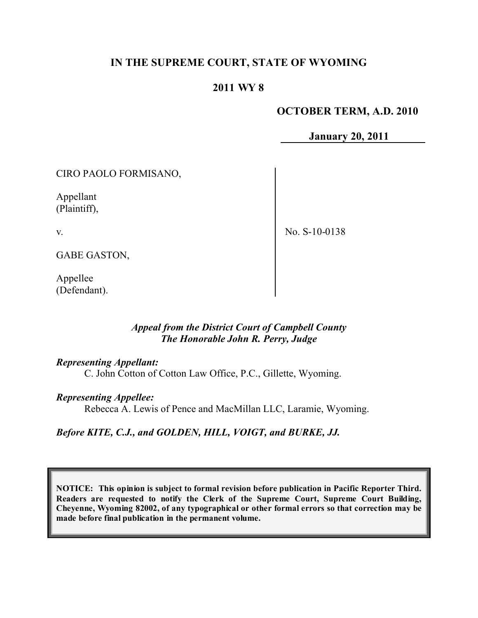# **IN THE SUPREME COURT, STATE OF WYOMING**

# **2011 WY 8**

## **OCTOBER TERM, A.D. 2010**

**January 20, 2011**

CIRO PAOLO FORMISANO,

Appellant (Plaintiff),

v.

No. S-10-0138

GABE GASTON,

Appellee (Defendant).

# *Appeal from the District Court of Campbell County The Honorable John R. Perry, Judge*

#### *Representing Appellant:*

C. John Cotton of Cotton Law Office, P.C., Gillette, Wyoming.

#### *Representing Appellee:*

Rebecca A. Lewis of Pence and MacMillan LLC, Laramie, Wyoming.

# *Before KITE, C.J., and GOLDEN, HILL, VOIGT, and BURKE, JJ.*

**NOTICE: This opinion is subject to formal revision before publication in Pacific Reporter Third. Readers are requested to notify the Clerk of the Supreme Court, Supreme Court Building, Cheyenne, Wyoming 82002, of any typographical or other formal errors so that correction may be made before final publication in the permanent volume.**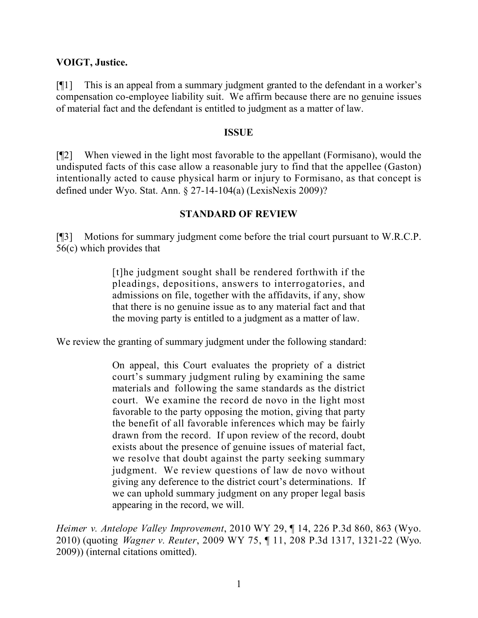### **VOIGT, Justice.**

[¶1] This is an appeal from a summary judgment granted to the defendant in a worker's compensation co-employee liability suit. We affirm because there are no genuine issues of material fact and the defendant is entitled to judgment as a matter of law.

#### **ISSUE**

[¶2] When viewed in the light most favorable to the appellant (Formisano), would the undisputed facts of this case allow a reasonable jury to find that the appellee (Gaston) intentionally acted to cause physical harm or injury to Formisano, as that concept is defined under Wyo. Stat. Ann. § 27-14-104(a) (LexisNexis 2009)?

## **STANDARD OF REVIEW**

[¶3] Motions for summary judgment come before the trial court pursuant to W.R.C.P. 56(c) which provides that

> [t]he judgment sought shall be rendered forthwith if the pleadings, depositions, answers to interrogatories, and admissions on file, together with the affidavits, if any, show that there is no genuine issue as to any material fact and that the moving party is entitled to a judgment as a matter of law.

We review the granting of summary judgment under the following standard:

On appeal, this Court evaluates the propriety of a district court's summary judgment ruling by examining the same materials and following the same standards as the district court. We examine the record de novo in the light most favorable to the party opposing the motion, giving that party the benefit of all favorable inferences which may be fairly drawn from the record. If upon review of the record, doubt exists about the presence of genuine issues of material fact, we resolve that doubt against the party seeking summary judgment. We review questions of law de novo without giving any deference to the district court's determinations. If we can uphold summary judgment on any proper legal basis appearing in the record, we will.

*Heimer v. Antelope Valley Improvement*, 2010 WY 29, ¶ 14, 226 P.3d 860, 863 (Wyo. 2010) (quoting *Wagner v. Reuter*, 2009 WY 75, ¶ 11, 208 P.3d 1317, 1321-22 (Wyo. 2009)) (internal citations omitted).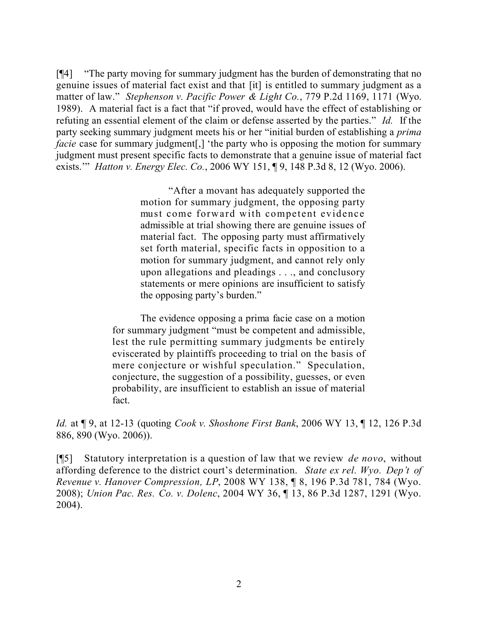[¶4] "The party moving for summary judgment has the burden of demonstrating that no genuine issues of material fact exist and that [it] is entitled to summary judgment as a matter of law." *Stephenson v. Pacific Power & Light Co.*, 779 P.2d 1169, 1171 (Wyo. 1989). A material fact is a fact that "if proved, would have the effect of establishing or refuting an essential element of the claim or defense asserted by the parties." *Id.* If the party seeking summary judgment meets his or her "initial burden of establishing a *prima facie* case for summary judgment[,] 'the party who is opposing the motion for summary judgment must present specific facts to demonstrate that a genuine issue of material fact exists.'" *Hatton v. Energy Elec. Co.*, 2006 WY 151, ¶ 9, 148 P.3d 8, 12 (Wyo. 2006).

> "After a movant has adequately supported the motion for summary judgment, the opposing party must come forward with competent evidence admissible at trial showing there are genuine issues of material fact. The opposing party must affirmatively set forth material, specific facts in opposition to a motion for summary judgment, and cannot rely only upon allegations and pleadings . . ., and conclusory statements or mere opinions are insufficient to satisfy the opposing party's burden."

The evidence opposing a prima facie case on a motion for summary judgment "must be competent and admissible, lest the rule permitting summary judgments be entirely eviscerated by plaintiffs proceeding to trial on the basis of mere conjecture or wishful speculation." Speculation, conjecture, the suggestion of a possibility, guesses, or even probability, are insufficient to establish an issue of material fact.

*Id.* at ¶ 9, at 12-13 (quoting *Cook v. Shoshone First Bank*, 2006 WY 13, ¶ 12, 126 P.3d 886, 890 (Wyo. 2006)).

[¶5] Statutory interpretation is a question of law that we review *de novo*, without affording deference to the district court's determination. *State ex rel. Wyo. Dep't of Revenue v. Hanover Compression, LP*, 2008 WY 138, ¶ 8, 196 P.3d 781, 784 (Wyo. 2008); *Union Pac. Res. Co. v. Dolenc*, 2004 WY 36, ¶ 13, 86 P.3d 1287, 1291 (Wyo. 2004).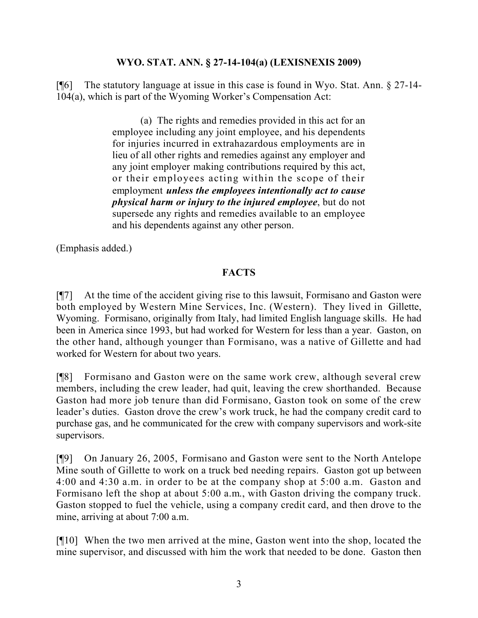## **WYO. STAT. ANN. § 27-14-104(a) (LEXISNEXIS 2009)**

[¶6] The statutory language at issue in this case is found in Wyo. Stat. Ann. § 27-14- 104(a), which is part of the Wyoming Worker's Compensation Act:

> (a) The rights and remedies provided in this act for an employee including any joint employee, and his dependents for injuries incurred in extrahazardous employments are in lieu of all other rights and remedies against any employer and any joint employer making contributions required by this act, or their employees acting within the scope of their employment *unless the employees intentionally act to cause physical harm or injury to the injured employee*, but do not supersede any rights and remedies available to an employee and his dependents against any other person.

(Emphasis added.)

# **FACTS**

[¶7] At the time of the accident giving rise to this lawsuit, Formisano and Gaston were both employed by Western Mine Services, Inc. (Western). They lived in Gillette, Wyoming. Formisano, originally from Italy, had limited English language skills. He had been in America since 1993, but had worked for Western for less than a year. Gaston, on the other hand, although younger than Formisano, was a native of Gillette and had worked for Western for about two years.

[¶8] Formisano and Gaston were on the same work crew, although several crew members, including the crew leader, had quit, leaving the crew shorthanded. Because Gaston had more job tenure than did Formisano, Gaston took on some of the crew leader's duties. Gaston drove the crew's work truck, he had the company credit card to purchase gas, and he communicated for the crew with company supervisors and work-site supervisors.

[¶9] On January 26, 2005, Formisano and Gaston were sent to the North Antelope Mine south of Gillette to work on a truck bed needing repairs. Gaston got up between 4:00 and 4:30 a.m. in order to be at the company shop at 5:00 a.m. Gaston and Formisano left the shop at about 5:00 a.m., with Gaston driving the company truck. Gaston stopped to fuel the vehicle, using a company credit card, and then drove to the mine, arriving at about 7:00 a.m.

[¶10] When the two men arrived at the mine, Gaston went into the shop, located the mine supervisor, and discussed with him the work that needed to be done. Gaston then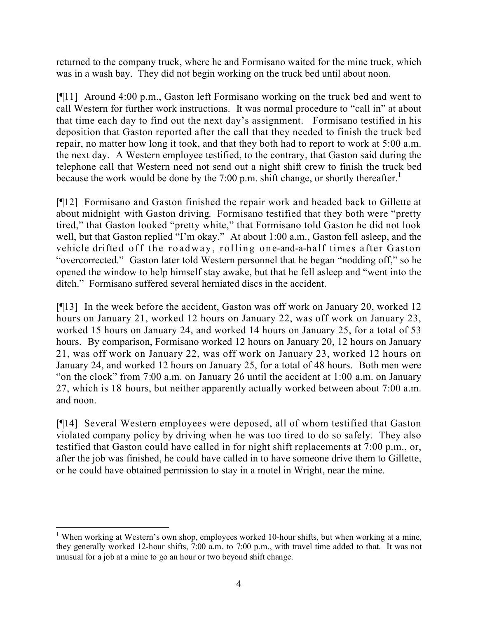returned to the company truck, where he and Formisano waited for the mine truck, which was in a wash bay. They did not begin working on the truck bed until about noon.

[¶11] Around 4:00 p.m., Gaston left Formisano working on the truck bed and went to call Western for further work instructions. It was normal procedure to "call in" at about that time each day to find out the next day's assignment. Formisano testified in his deposition that Gaston reported after the call that they needed to finish the truck bed repair, no matter how long it took, and that they both had to report to work at 5:00 a.m. the next day. A Western employee testified, to the contrary, that Gaston said during the telephone call that Western need not send out a night shift crew to finish the truck bed because the work would be done by the 7:00 p.m. shift change, or shortly thereafter.<sup>1</sup>

[¶12] Formisano and Gaston finished the repair work and headed back to Gillette at about midnight with Gaston driving. Formisano testified that they both were "pretty tired," that Gaston looked "pretty white," that Formisano told Gaston he did not look well, but that Gaston replied "I'm okay." At about 1:00 a.m., Gaston fell asleep, and the vehicle drifted off the roadway, rolling one-and-a-half times after Gaston "overcorrected." Gaston later told Western personnel that he began "nodding off," so he opened the window to help himself stay awake, but that he fell asleep and "went into the ditch." Formisano suffered several herniated discs in the accident.

[¶13] In the week before the accident, Gaston was off work on January 20, worked 12 hours on January 21, worked 12 hours on January 22, was off work on January 23, worked 15 hours on January 24, and worked 14 hours on January 25, for a total of 53 hours. By comparison, Formisano worked 12 hours on January 20, 12 hours on January 21, was off work on January 22, was off work on January 23, worked 12 hours on January 24, and worked 12 hours on January 25, for a total of 48 hours. Both men were "on the clock" from 7:00 a.m. on January 26 until the accident at 1:00 a.m. on January 27, which is 18 hours, but neither apparently actually worked between about 7:00 a.m. and noon.

[¶14] Several Western employees were deposed, all of whom testified that Gaston violated company policy by driving when he was too tired to do so safely. They also testified that Gaston could have called in for night shift replacements at 7:00 p.m., or, after the job was finished, he could have called in to have someone drive them to Gillette, or he could have obtained permission to stay in a motel in Wright, near the mine.

 <sup>1</sup> When working at Western's own shop, employees worked 10-hour shifts, but when working at a mine, they generally worked 12-hour shifts, 7:00 a.m. to 7:00 p.m., with travel time added to that. It was not unusual for a job at a mine to go an hour or two beyond shift change.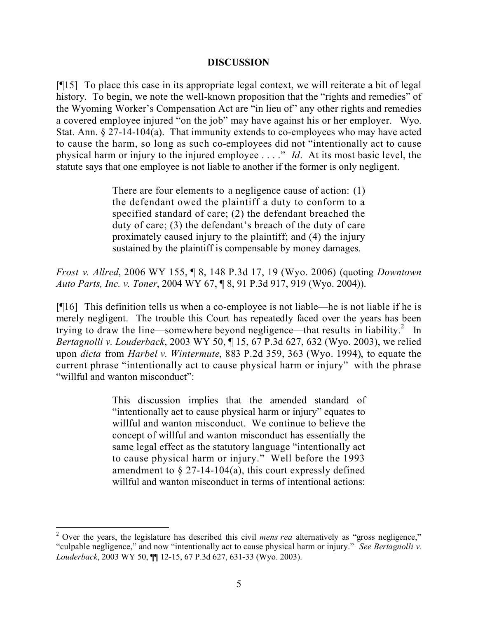#### **DISCUSSION**

[¶15] To place this case in its appropriate legal context, we will reiterate a bit of legal history. To begin, we note the well-known proposition that the "rights and remedies" of the Wyoming Worker's Compensation Act are "in lieu of" any other rights and remedies a covered employee injured "on the job" may have against his or her employer. Wyo. Stat. Ann. § 27-14-104(a). That immunity extends to co-employees who may have acted to cause the harm, so long as such co-employees did not "intentionally act to cause physical harm or injury to the injured employee . . . ." *Id*. At its most basic level, the statute says that one employee is not liable to another if the former is only negligent.

> There are four elements to a negligence cause of action: (1) the defendant owed the plaintiff a duty to conform to a specified standard of care; (2) the defendant breached the duty of care; (3) the defendant's breach of the duty of care proximately caused injury to the plaintiff; and (4) the injury sustained by the plaintiff is compensable by money damages.

*Frost v. Allred*, 2006 WY 155, ¶ 8, 148 P.3d 17, 19 (Wyo. 2006) (quoting *Downtown Auto Parts, Inc. v. Toner*, 2004 WY 67, ¶ 8, 91 P.3d 917, 919 (Wyo. 2004)).

[¶16] This definition tells us when a co-employee is not liable—he is not liable if he is merely negligent. The trouble this Court has repeatedly faced over the years has been trying to draw the line—somewhere beyond negligence—that results in liability.<sup>2</sup> In *Bertagnolli v. Louderback*, 2003 WY 50, ¶ 15, 67 P.3d 627, 632 (Wyo. 2003), we relied upon *dicta* from *Harbel v. Wintermute*, 883 P.2d 359, 363 (Wyo. 1994), to equate the current phrase "intentionally act to cause physical harm or injury" with the phrase "willful and wanton misconduct":

> This discussion implies that the amended standard of "intentionally act to cause physical harm or injury" equates to willful and wanton misconduct. We continue to believe the concept of willful and wanton misconduct has essentially the same legal effect as the statutory language "intentionally act to cause physical harm or injury." Well before the 1993 amendment to  $\S 27$ -14-104(a), this court expressly defined willful and wanton misconduct in terms of intentional actions:

<sup>2</sup> Over the years, the legislature has described this civil *mens rea* alternatively as "gross negligence," "culpable negligence," and now "intentionally act to cause physical harm or injury." *See Bertagnolli v. Louderback*, 2003 WY 50, ¶¶ 12-15, 67 P.3d 627, 631-33 (Wyo. 2003).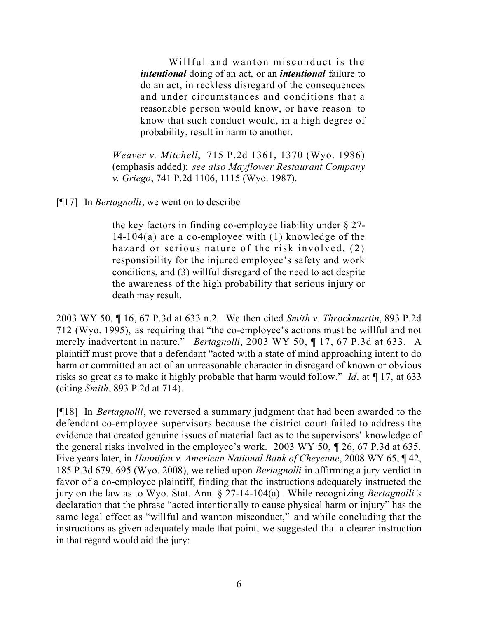Willful and wanton misconduct is the *intentional* doing of an act, or an *intentional* failure to do an act, in reckless disregard of the consequences and under circumstances and conditions that a reasonable person would know, or have reason to know that such conduct would, in a high degree of probability, result in harm to another.

*Weaver v. Mitchell*, 715 P.2d 1361, 1370 (Wyo. 1986) (emphasis added); *see also Mayflower Restaurant Company v. Griego*, 741 P.2d 1106, 1115 (Wyo. 1987).

[¶17] In *Bertagnolli*, we went on to describe

the key factors in finding co-employee liability under § 27- 14-104(a) are a co-employee with (1) knowledge of the hazard or serious nature of the risk involved, (2) responsibility for the injured employee's safety and work conditions, and (3) willful disregard of the need to act despite the awareness of the high probability that serious injury or death may result.

2003 WY 50, ¶ 16, 67 P.3d at 633 n.2. We then cited *Smith v. Throckmartin*, 893 P.2d 712 (Wyo. 1995), as requiring that "the co-employee's actions must be willful and not merely inadvertent in nature." *Bertagnolli*, 2003 WY 50, ¶ 17, 67 P.3d at 633. A plaintiff must prove that a defendant "acted with a state of mind approaching intent to do harm or committed an act of an unreasonable character in disregard of known or obvious risks so great as to make it highly probable that harm would follow." *Id*. at ¶ 17, at 633 (citing *Smith*, 893 P.2d at 714).

[¶18] In *Bertagnolli*, we reversed a summary judgment that had been awarded to the defendant co-employee supervisors because the district court failed to address the evidence that created genuine issues of material fact as to the supervisors' knowledge of the general risks involved in the employee's work. 2003 WY 50, ¶ 26, 67 P.3d at 635. Five years later, in *Hannifan v. American National Bank of Cheyenne*, 2008 WY 65, ¶ 42, 185 P.3d 679, 695 (Wyo. 2008), we relied upon *Bertagnolli* in affirming a jury verdict in favor of a co-employee plaintiff, finding that the instructions adequately instructed the jury on the law as to Wyo. Stat. Ann. § 27-14-104(a). While recognizing *Bertagnolli's* declaration that the phrase "acted intentionally to cause physical harm or injury" has the same legal effect as "willful and wanton misconduct," and while concluding that the instructions as given adequately made that point, we suggested that a clearer instruction in that regard would aid the jury: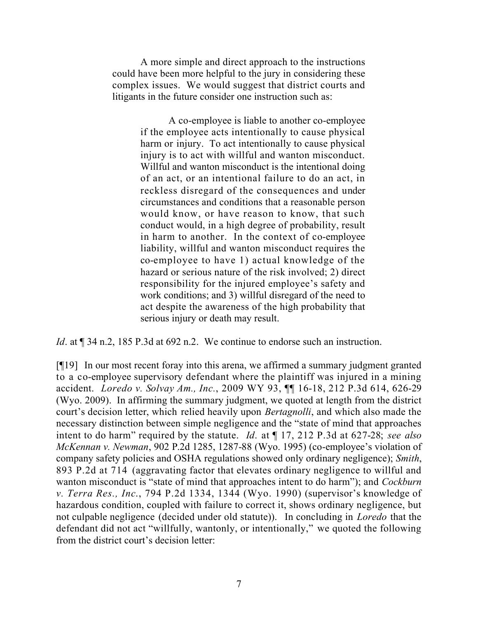A more simple and direct approach to the instructions could have been more helpful to the jury in considering these complex issues. We would suggest that district courts and litigants in the future consider one instruction such as:

> A co-employee is liable to another co-employee if the employee acts intentionally to cause physical harm or injury. To act intentionally to cause physical injury is to act with willful and wanton misconduct. Willful and wanton misconduct is the intentional doing of an act, or an intentional failure to do an act, in reckless disregard of the consequences and under circumstances and conditions that a reasonable person would know, or have reason to know, that such conduct would, in a high degree of probability, result in harm to another. In the context of co-employee liability, willful and wanton misconduct requires the co-employee to have 1) actual knowledge of the hazard or serious nature of the risk involved; 2) direct responsibility for the injured employee's safety and work conditions; and 3) willful disregard of the need to act despite the awareness of the high probability that serious injury or death may result.

*Id*. at  $\sqrt{$  34 n.2, 185 P.3d at 692 n.2. We continue to endorse such an instruction.

[¶19] In our most recent foray into this arena, we affirmed a summary judgment granted to a co-employee supervisory defendant where the plaintiff was injured in a mining accident. *Loredo v. Solvay Am., Inc.*, 2009 WY 93, ¶¶ 16-18, 212 P.3d 614, 626-29 (Wyo. 2009). In affirming the summary judgment, we quoted at length from the district court's decision letter, which relied heavily upon *Bertagnolli*, and which also made the necessary distinction between simple negligence and the "state of mind that approaches intent to do harm" required by the statute. *Id*. at ¶ 17, 212 P.3d at 627-28; *see also McKennan v. Newman*, 902 P.2d 1285, 1287-88 (Wyo. 1995) (co-employee's violation of company safety policies and OSHA regulations showed only ordinary negligence); *Smith*, 893 P.2d at 714 (aggravating factor that elevates ordinary negligence to willful and wanton misconduct is "state of mind that approaches intent to do harm"); and *Cockburn v. Terra Res., Inc*., 794 P.2d 1334, 1344 (Wyo. 1990) (supervisor's knowledge of hazardous condition, coupled with failure to correct it, shows ordinary negligence, but not culpable negligence (decided under old statute)). In concluding in *Loredo* that the defendant did not act "willfully, wantonly, or intentionally," we quoted the following from the district court's decision letter: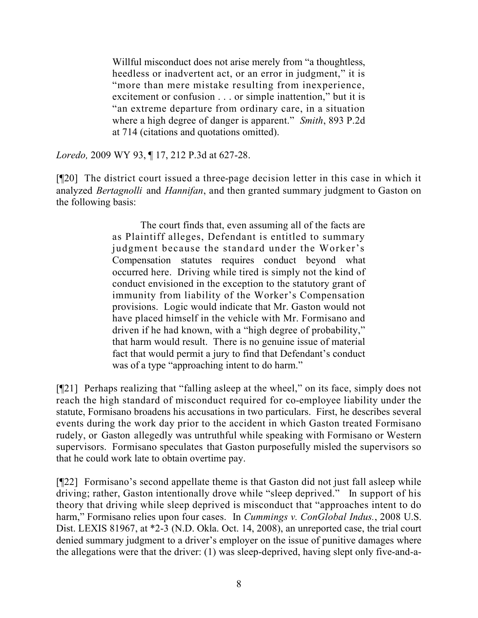Willful misconduct does not arise merely from "a thoughtless, heedless or inadvertent act, or an error in judgment," it is "more than mere mistake resulting from inexperience, excitement or confusion . . . or simple inattention," but it is "an extreme departure from ordinary care, in a situation where a high degree of danger is apparent." *Smith*, 893 P.2d at 714 (citations and quotations omitted).

*Loredo,* 2009 WY 93, ¶ 17, 212 P.3d at 627-28.

[¶20] The district court issued a three-page decision letter in this case in which it analyzed *Bertagnolli* and *Hannifan*, and then granted summary judgment to Gaston on the following basis:

> The court finds that, even assuming all of the facts are as Plaintiff alleges, Defendant is entitled to summary judgment because the standard under the Worker's Compensation statutes requires conduct beyond what occurred here. Driving while tired is simply not the kind of conduct envisioned in the exception to the statutory grant of immunity from liability of the Worker's Compensation provisions. Logic would indicate that Mr. Gaston would not have placed himself in the vehicle with Mr. Formisano and driven if he had known, with a "high degree of probability," that harm would result. There is no genuine issue of material fact that would permit a jury to find that Defendant's conduct was of a type "approaching intent to do harm."

[¶21] Perhaps realizing that "falling asleep at the wheel," on its face, simply does not reach the high standard of misconduct required for co-employee liability under the statute, Formisano broadens his accusations in two particulars. First, he describes several events during the work day prior to the accident in which Gaston treated Formisano rudely, or Gaston allegedly was untruthful while speaking with Formisano or Western supervisors. Formisano speculates that Gaston purposefully misled the supervisors so that he could work late to obtain overtime pay.

[¶22] Formisano's second appellate theme is that Gaston did not just fall asleep while driving; rather, Gaston intentionally drove while "sleep deprived." In support of his theory that driving while sleep deprived is misconduct that "approaches intent to do harm," Formisano relies upon four cases. In *Cummings v. ConGlobal Indus.*, 2008 U.S. Dist. LEXIS 81967, at \*2-3 (N.D. Okla. Oct. 14, 2008), an unreported case, the trial court denied summary judgment to a driver's employer on the issue of punitive damages where the allegations were that the driver: (1) was sleep-deprived, having slept only five-and-a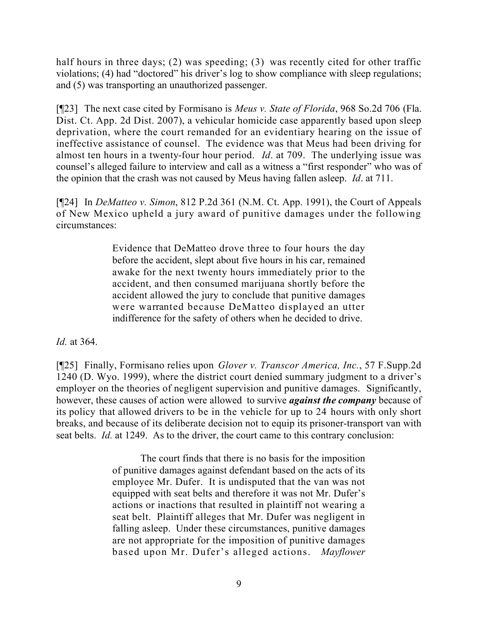half hours in three days; (2) was speeding; (3) was recently cited for other traffic violations; (4) had "doctored" his driver's log to show compliance with sleep regulations; and (5) was transporting an unauthorized passenger.

[¶23] The next case cited by Formisano is *Meus v. State of Florida*, 968 So.2d 706 (Fla. Dist. Ct. App. 2d Dist. 2007), a vehicular homicide case apparently based upon sleep deprivation, where the court remanded for an evidentiary hearing on the issue of ineffective assistance of counsel. The evidence was that Meus had been driving for almost ten hours in a twenty-four hour period. *Id*. at 709. The underlying issue was counsel's alleged failure to interview and call as a witness a "first responder" who was of the opinion that the crash was not caused by Meus having fallen asleep. *Id*. at 711.

[¶24] In *DeMatteo v. Simon*, 812 P.2d 361 (N.M. Ct. App. 1991), the Court of Appeals of New Mexico upheld a jury award of punitive damages under the following circumstances:

> Evidence that DeMatteo drove three to four hours the day before the accident, slept about five hours in his car, remained awake for the next twenty hours immediately prior to the accident, and then consumed marijuana shortly before the accident allowed the jury to conclude that punitive damages were warranted because DeMatteo displayed an utter indifference for the safety of others when he decided to drive.

*Id.* at 364.

[¶25] Finally, Formisano relies upon *Glover v. Transcor America, Inc.*, 57 F.Supp.2d 1240 (D. Wyo. 1999), where the district court denied summary judgment to a driver's employer on the theories of negligent supervision and punitive damages. Significantly, however, these causes of action were allowed to survive *against the company* because of its policy that allowed drivers to be in the vehicle for up to 24 hours with only short breaks, and because of its deliberate decision not to equip its prisoner-transport van with seat belts. *Id.* at 1249. As to the driver, the court came to this contrary conclusion:

> The court finds that there is no basis for the imposition of punitive damages against defendant based on the acts of its employee Mr. Dufer. It is undisputed that the van was not equipped with seat belts and therefore it was not Mr. Dufer's actions or inactions that resulted in plaintiff not wearing a seat belt. Plaintiff alleges that Mr. Dufer was negligent in falling asleep. Under these circumstances, punitive damages are not appropriate for the imposition of punitive damages based upon Mr. Dufer's alleged actions. *Mayflower*